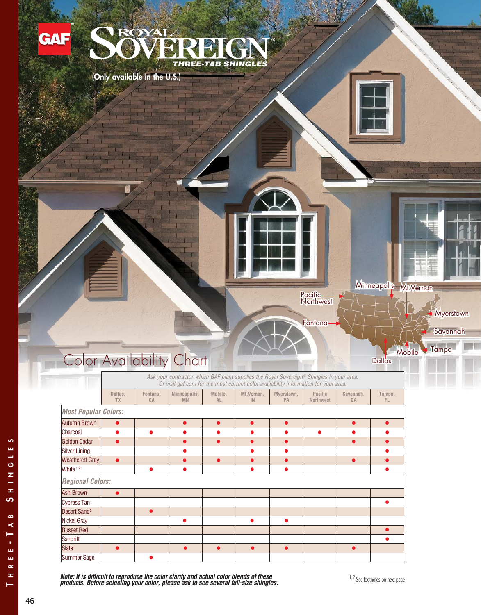

*Note: It is difficult to reproduce the color clarity and actual color blends of these products. Before selecting your color, please ask to see several full-size shingles.*

ဖာ